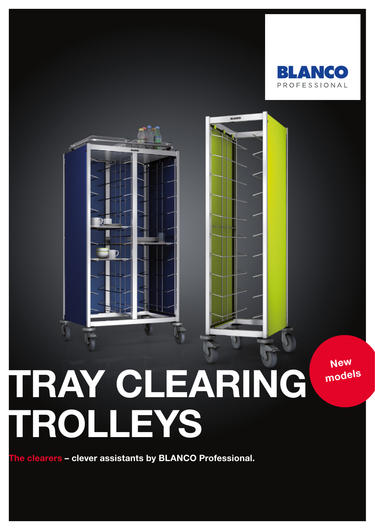

# TRAY CLEARING TROLLEYS

The clearers – clever assistants by BLANCO Professional.

**New** models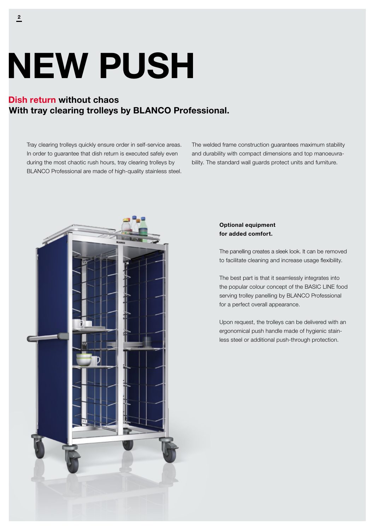# NEW PUSH

## Dish return without chaos With tray clearing trolleys by BLANCO Professional.

Tray clearing trolleys quickly ensure order in self-service areas. In order to guarantee that dish return is executed safely even during the most chaotic rush hours, tray clearing trolleys by BLANCO Professional are made of high-quality stainless steel. The welded frame construction guarantees maximum stability and durability with compact dimensions and top manoeuvrability. The standard wall guards protect units and furniture.



### Optional equipment for added comfort.

The panelling creates a sleek look. It can be removed to facilitate cleaning and increase usage flexibility.

The best part is that it seamlessly integrates into the popular colour concept of the BASIC LINE food serving trolley panelling by BLANCO Professional for a perfect overall appearance.

Upon request, the trolleys can be delivered with an ergonomical push handle made of hygienic stainless steel or additional push-through protection.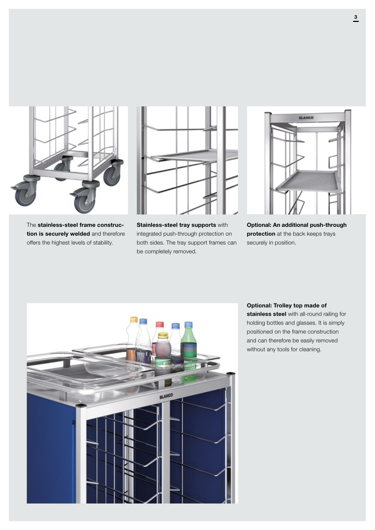

The stainless-steel frame construction is securely welded and therefore offers the highest levels of stability.



Stainless-steel tray supports with integrated push-through protection on both sides. The tray support frames can be completely removed.



Optional: An additional push-through protection at the back keeps trays securely in position.



Optional: Trolley top made of stainless steel with all-round railing for holding bottles and glasses. It is simply positioned on the frame construction and can therefore be easily removed without any tools for cleaning.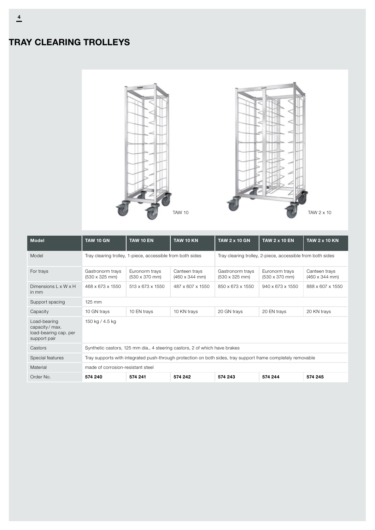# TRAY CLEARING TROLLEYS



| <b>Model</b>                                                           | <b>TAW 10 GN</b>                                                                                             | <b>TAW 10 EN</b>                                | <b>TAW 10 KN</b>                               | <b>TAW 2 x 10 GN</b>                                       | <b>TAW 2 x 10 EN</b>                            | <b>TAW 2 x 10 KN</b>                           |  |
|------------------------------------------------------------------------|--------------------------------------------------------------------------------------------------------------|-------------------------------------------------|------------------------------------------------|------------------------------------------------------------|-------------------------------------------------|------------------------------------------------|--|
| Model                                                                  | Tray clearing trolley, 1-piece, accessible from both sides                                                   |                                                 |                                                | Tray clearing trolley, 2-piece, accessible from both sides |                                                 |                                                |  |
| For trays                                                              | Gastronorm trays<br>$(530 \times 325 \text{ mm})$                                                            | Euronorm trays<br>$(530 \times 370 \text{ mm})$ | Canteen trays<br>$(460 \times 344 \text{ mm})$ | Gastronorm trays<br>$(530 \times 325 \text{ mm})$          | Euronorm trays<br>$(530 \times 370 \text{ mm})$ | Canteen trays<br>$(460 \times 344 \text{ mm})$ |  |
| Dimensions $L \times W \times H$<br>in mm                              | 468 x 673 x 1550                                                                                             | 513 x 673 x 1550                                | 487 x 607 x 1550                               | 850 x 673 x 1550                                           | 940 x 673 x 1550                                | 888 x 607 x 1550                               |  |
| Support spacing                                                        | 125 mm                                                                                                       |                                                 |                                                |                                                            |                                                 |                                                |  |
| Capacity                                                               | 10 GN trays                                                                                                  | 10 EN trays                                     | 10 KN trays                                    | 20 GN trays                                                | 20 EN trays                                     | 20 KN trays                                    |  |
| Load-bearing<br>capacity/max.<br>load-bearing cap. per<br>support pair | 150 kg / 4.5 kg                                                                                              |                                                 |                                                |                                                            |                                                 |                                                |  |
| Castors                                                                | Synthetic castors, 125 mm dia., 4 steering castors, 2 of which have brakes                                   |                                                 |                                                |                                                            |                                                 |                                                |  |
| Special features                                                       | Tray supports with integrated push-through protection on both sides, tray support frame completely removable |                                                 |                                                |                                                            |                                                 |                                                |  |
| Material                                                               | made of corrosion-resistant steel                                                                            |                                                 |                                                |                                                            |                                                 |                                                |  |
| Order No.                                                              | 574 240                                                                                                      | 574 241                                         | 574 242                                        | 574 243                                                    | 574 244                                         | 574 245                                        |  |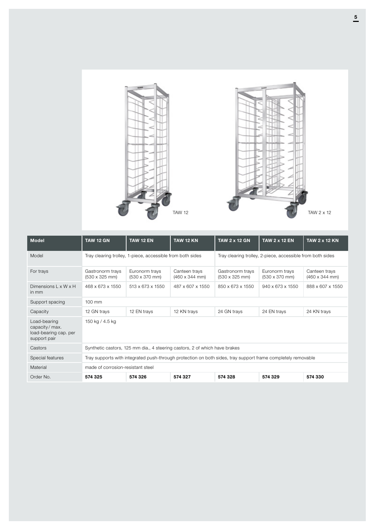

| <b>Model</b>                                                           | <b>TAW 12 GN</b>                                                                                             | <b>TAW 12 EN</b>                                | <b>TAW 12 KN</b>                               | <b>TAW 2 x 12 GN</b>                                       | <b>TAW 2 x 12 EN</b>                            | <b>TAW 2 x 12 KN</b>                           |  |
|------------------------------------------------------------------------|--------------------------------------------------------------------------------------------------------------|-------------------------------------------------|------------------------------------------------|------------------------------------------------------------|-------------------------------------------------|------------------------------------------------|--|
| Model                                                                  | Tray clearing trolley, 1-piece, accessible from both sides                                                   |                                                 |                                                | Tray clearing trolley, 2-piece, accessible from both sides |                                                 |                                                |  |
| For trays                                                              | Gastronorm trays<br>$(530 \times 325 \text{ mm})$                                                            | Euronorm trays<br>$(530 \times 370 \text{ mm})$ | Canteen trays<br>$(460 \times 344 \text{ mm})$ | Gastronorm trays<br>$(530 \times 325 \text{ mm})$          | Euronorm trays<br>$(530 \times 370 \text{ mm})$ | Canteen trays<br>$(460 \times 344 \text{ mm})$ |  |
| Dimensions $L \times W \times H$<br>in mm                              | 468 x 673 x 1550                                                                                             | 513 x 673 x 1550                                | 487 x 607 x 1550                               | 850 x 673 x 1550                                           | $940 \times 673 \times 1550$                    | 888 x 607 x 1550                               |  |
| Support spacing                                                        | $100 \text{ mm}$                                                                                             |                                                 |                                                |                                                            |                                                 |                                                |  |
| Capacity                                                               | 12 GN trays                                                                                                  | 12 EN trays                                     | 12 KN trays                                    | 24 GN trays                                                | 24 EN trays                                     | 24 KN trays                                    |  |
| Load-bearing<br>capacity/max.<br>load-bearing cap. per<br>support pair | 150 kg / 4.5 kg                                                                                              |                                                 |                                                |                                                            |                                                 |                                                |  |
| Castors                                                                | Synthetic castors, 125 mm dia., 4 steering castors, 2 of which have brakes                                   |                                                 |                                                |                                                            |                                                 |                                                |  |
| Special features                                                       | Tray supports with integrated push-through protection on both sides, tray support frame completely removable |                                                 |                                                |                                                            |                                                 |                                                |  |
| Material                                                               | made of corrosion-resistant steel                                                                            |                                                 |                                                |                                                            |                                                 |                                                |  |
| Order No.                                                              | 574 325                                                                                                      | 574 326                                         | 574 327                                        | 574 328                                                    | 574 329                                         | 574 330                                        |  |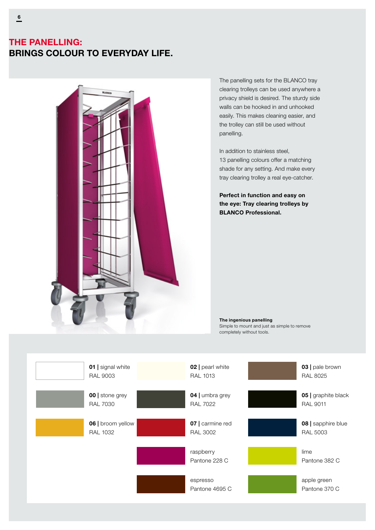### THE PANELLING: BRINGS COLOUR TO EVERYDAY LIFE.



The panelling sets for the BLANCO tray clearing trolleys can be used anywhere a privacy shield is desired. The sturdy side walls can be hooked in and unhooked easily. This makes cleaning easier, and the trolley can still be used without panelling.

In addition to stainless steel, 13 panelling colours offer a matching shade for any setting. And make every tray clearing trolley a real eye-catcher.

Perfect in function and easy on the eye: Tray clearing trolleys by BLANCO Professional.

The ingenious panelling Simple to mount and just as simple to remove completely without tools.

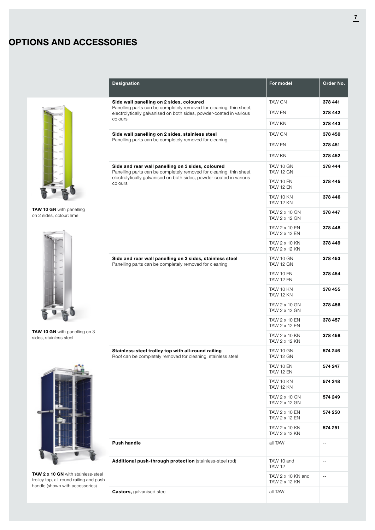## OPTIONS AND ACCESSORIES



TAW 10 GN with panelling on 2 sides, colour: lime



TAW 10 GN with panelling on 3 sides, stainless steel



TAW 2 x 10 GN with stainless-steel trolley top, all-round railing and push handle (shown with accessories)

| <b>Designation</b>                                                                                                                                                                                                                                                                                                                                                                                                  | For model                                 | Order No.                  |
|---------------------------------------------------------------------------------------------------------------------------------------------------------------------------------------------------------------------------------------------------------------------------------------------------------------------------------------------------------------------------------------------------------------------|-------------------------------------------|----------------------------|
| Side wall panelling on 2 sides, coloured                                                                                                                                                                                                                                                                                                                                                                            | <b>TAW GN</b>                             | 378 441                    |
| Panelling parts can be completely removed for cleaning, thin sheet,<br>electrolytically galvanised on both sides, powder-coated in various<br>colours<br>Panelling parts can be completely removed for cleaning<br>electrolytically galvanised on both sides, powder-coated in various<br>colours<br>Side and rear wall panelling on 3 sides, stainless steel<br>Stainless-steel trolley top with all-round railing | TAW EN                                    | 378 442                    |
|                                                                                                                                                                                                                                                                                                                                                                                                                     | <b>TAW KN</b>                             | 378 443                    |
| Side wall panelling on 2 sides, stainless steel                                                                                                                                                                                                                                                                                                                                                                     | <b>TAW GN</b>                             | 378 450                    |
|                                                                                                                                                                                                                                                                                                                                                                                                                     | TAW EN                                    | 378 451                    |
|                                                                                                                                                                                                                                                                                                                                                                                                                     | TAW KN                                    | 378 452                    |
| Side and rear wall panelling on 3 sides, coloured<br>Panelling parts can be completely removed for cleaning, thin sheet,                                                                                                                                                                                                                                                                                            | TAW 10 GN<br>TAW 12 GN                    | 378 444                    |
|                                                                                                                                                                                                                                                                                                                                                                                                                     | TAW 10 EN<br>TAW 12 EN                    | 378 445                    |
|                                                                                                                                                                                                                                                                                                                                                                                                                     | TAW 10 KN<br>TAW 12 KN                    | 378 446                    |
|                                                                                                                                                                                                                                                                                                                                                                                                                     | TAW 2 x 10 GN<br>TAW 2 x 12 GN            | 378 447                    |
|                                                                                                                                                                                                                                                                                                                                                                                                                     | TAW 2 x 10 EN<br>TAW 2 x 12 EN            | 378 448                    |
|                                                                                                                                                                                                                                                                                                                                                                                                                     | TAW 2 x 10 KN<br>TAW 2 x 12 KN            | 378 449                    |
| Panelling parts can be completely removed for cleaning                                                                                                                                                                                                                                                                                                                                                              | TAW 10 GN<br>TAW 12 GN                    | 378 453                    |
|                                                                                                                                                                                                                                                                                                                                                                                                                     | TAW 10 EN<br>TAW 12 EN                    | 378 454                    |
|                                                                                                                                                                                                                                                                                                                                                                                                                     | TAW 10 KN<br>TAW 12 KN                    | 378 455                    |
|                                                                                                                                                                                                                                                                                                                                                                                                                     | TAW 2 x 10 GN<br>TAW 2 x 12 GN            | 378 456                    |
|                                                                                                                                                                                                                                                                                                                                                                                                                     | TAW 2 x 10 EN<br>TAW 2 x 12 EN            | 378 457                    |
|                                                                                                                                                                                                                                                                                                                                                                                                                     | TAW 2 x 10 KN<br>TAW 2 x 12 KN            | 378 458                    |
| Roof can be completely removed for cleaning, stainless steel                                                                                                                                                                                                                                                                                                                                                        | TAW 10 GN<br>TAW 12 GN                    | 574 246                    |
|                                                                                                                                                                                                                                                                                                                                                                                                                     | TAW 10 EN<br>TAW 12 EN                    | 574 247                    |
|                                                                                                                                                                                                                                                                                                                                                                                                                     | TAW 10 KN<br>TAW 12 KN                    | 574 248                    |
|                                                                                                                                                                                                                                                                                                                                                                                                                     | TAW 2 x 10 GN<br>TAW 2 x 12 GN            | 574 249                    |
|                                                                                                                                                                                                                                                                                                                                                                                                                     | TAW 2 x 10 EN<br>TAW 2 x 12 EN            | 574 250                    |
|                                                                                                                                                                                                                                                                                                                                                                                                                     | TAW 2 x 10 KN<br>TAW 2 x 12 KN            | 574 251                    |
| Push handle                                                                                                                                                                                                                                                                                                                                                                                                         | all TAW                                   | $\overline{\phantom{a}}$ . |
| Additional push-through protection (stainless-steel rod)                                                                                                                                                                                                                                                                                                                                                            | TAW 10 and<br><b>TAW 12</b>               | $-\, -$                    |
|                                                                                                                                                                                                                                                                                                                                                                                                                     | TAW $2 \times 10$ KN and<br>TAW 2 x 12 KN | $\sim$ $\sim$              |
| <b>Castors, galvanised steel</b>                                                                                                                                                                                                                                                                                                                                                                                    | all TAW                                   | $\sim$ $-$                 |